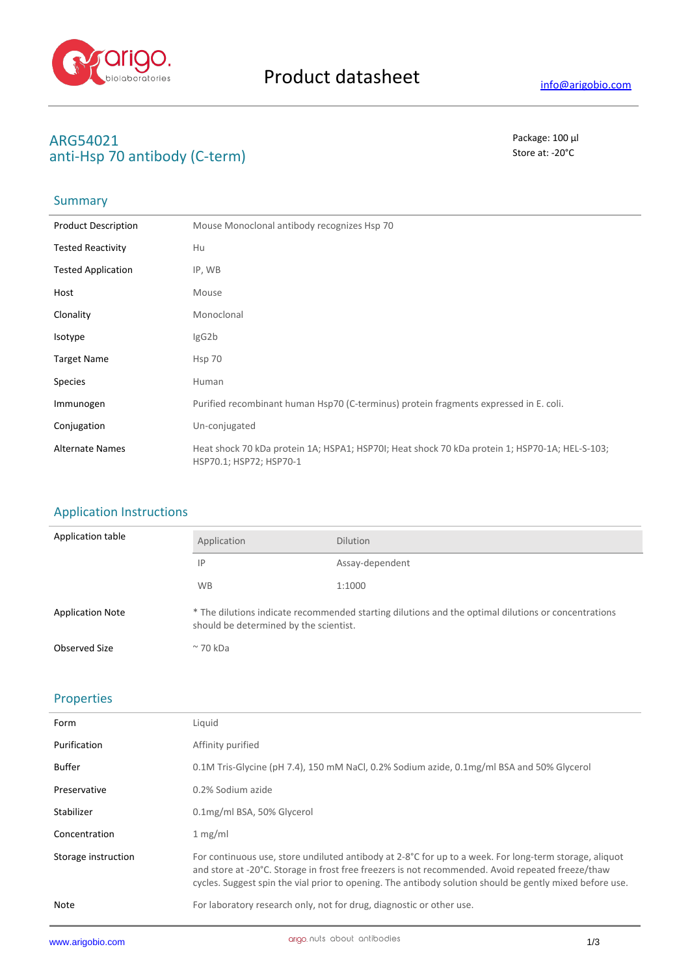

### **ARG54021** Package: 100 μl anti-Hsp 70 antibody (C-term) and state at a store at: -20<sup>°</sup>C

## Summary

| <b>Product Description</b> | Mouse Monoclonal antibody recognizes Hsp 70                                                                               |
|----------------------------|---------------------------------------------------------------------------------------------------------------------------|
| <b>Tested Reactivity</b>   | Hu                                                                                                                        |
| <b>Tested Application</b>  | IP, WB                                                                                                                    |
| Host                       | Mouse                                                                                                                     |
| Clonality                  | Monoclonal                                                                                                                |
| Isotype                    | lgG2b                                                                                                                     |
| <b>Target Name</b>         | Hsp 70                                                                                                                    |
| <b>Species</b>             | Human                                                                                                                     |
| Immunogen                  | Purified recombinant human Hsp70 (C-terminus) protein fragments expressed in E. coli.                                     |
| Conjugation                | Un-conjugated                                                                                                             |
| <b>Alternate Names</b>     | Heat shock 70 kDa protein 1A; HSPA1; HSP70I; Heat shock 70 kDa protein 1; HSP70-1A; HEL-S-103;<br>HSP70.1; HSP72; HSP70-1 |

### Application Instructions

| Application table       | Application                                                                                                                                   | <b>Dilution</b> |
|-------------------------|-----------------------------------------------------------------------------------------------------------------------------------------------|-----------------|
|                         | 1P                                                                                                                                            | Assay-dependent |
|                         | <b>WB</b>                                                                                                                                     | 1:1000          |
| <b>Application Note</b> | * The dilutions indicate recommended starting dilutions and the optimal dilutions or concentrations<br>should be determined by the scientist. |                 |
| Observed Size           | $\approx$ 70 kDa                                                                                                                              |                 |

#### Properties

| Form                | Liquid                                                                                                                                                                                                                                                                                                                             |
|---------------------|------------------------------------------------------------------------------------------------------------------------------------------------------------------------------------------------------------------------------------------------------------------------------------------------------------------------------------|
| Purification        | Affinity purified                                                                                                                                                                                                                                                                                                                  |
| <b>Buffer</b>       | 0.1M Tris-Glycine (pH 7.4), 150 mM NaCl, 0.2% Sodium azide, 0.1mg/ml BSA and 50% Glycerol                                                                                                                                                                                                                                          |
| Preservative        | 0.2% Sodium azide                                                                                                                                                                                                                                                                                                                  |
| Stabilizer          | 0.1mg/ml BSA, 50% Glycerol                                                                                                                                                                                                                                                                                                         |
| Concentration       | 1 mg/ml                                                                                                                                                                                                                                                                                                                            |
| Storage instruction | For continuous use, store undiluted antibody at 2-8 $^{\circ}$ C for up to a week. For long-term storage, aliquot<br>and store at -20°C. Storage in frost free freezers is not recommended. Avoid repeated freeze/thaw<br>cycles. Suggest spin the vial prior to opening. The antibody solution should be gently mixed before use. |
| Note                | For laboratory research only, not for drug, diagnostic or other use.                                                                                                                                                                                                                                                               |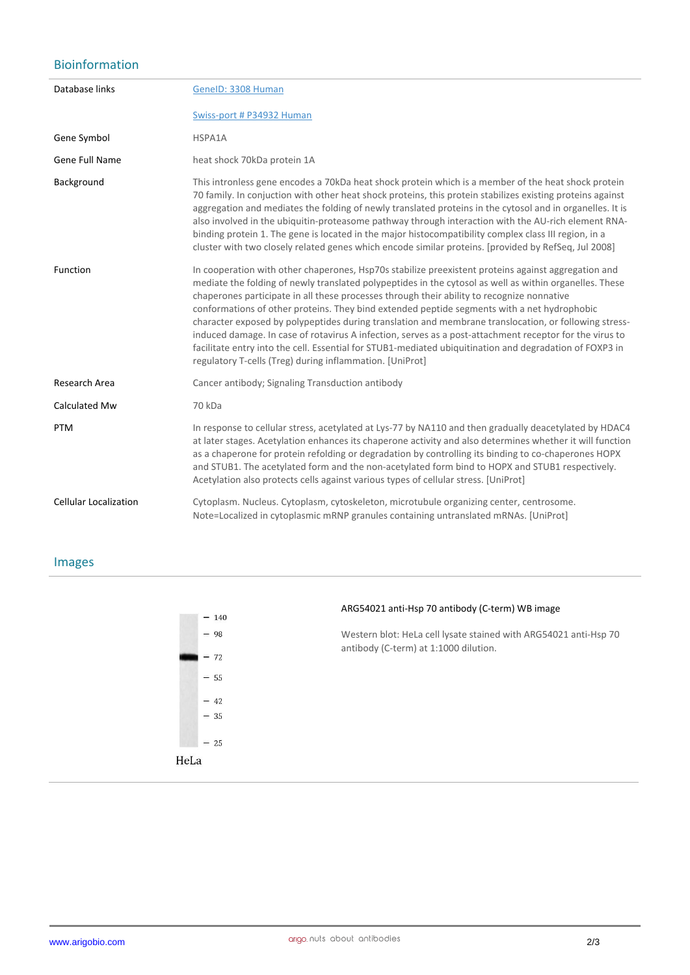# Bioinformation

| Database links               | GenelD: 3308 Human                                                                                                                                                                                                                                                                                                                                                                                                                                                                                                                                                                                                                                                                                                                                                                                     |
|------------------------------|--------------------------------------------------------------------------------------------------------------------------------------------------------------------------------------------------------------------------------------------------------------------------------------------------------------------------------------------------------------------------------------------------------------------------------------------------------------------------------------------------------------------------------------------------------------------------------------------------------------------------------------------------------------------------------------------------------------------------------------------------------------------------------------------------------|
|                              | Swiss-port # P34932 Human                                                                                                                                                                                                                                                                                                                                                                                                                                                                                                                                                                                                                                                                                                                                                                              |
| Gene Symbol                  | HSPA1A                                                                                                                                                                                                                                                                                                                                                                                                                                                                                                                                                                                                                                                                                                                                                                                                 |
| Gene Full Name               | heat shock 70kDa protein 1A                                                                                                                                                                                                                                                                                                                                                                                                                                                                                                                                                                                                                                                                                                                                                                            |
| Background                   | This intronless gene encodes a 70kDa heat shock protein which is a member of the heat shock protein<br>70 family. In conjuction with other heat shock proteins, this protein stabilizes existing proteins against<br>aggregation and mediates the folding of newly translated proteins in the cytosol and in organelles. It is<br>also involved in the ubiquitin-proteasome pathway through interaction with the AU-rich element RNA-<br>binding protein 1. The gene is located in the major histocompatibility complex class III region, in a<br>cluster with two closely related genes which encode similar proteins. [provided by RefSeq, Jul 2008]                                                                                                                                                 |
| Function                     | In cooperation with other chaperones, Hsp70s stabilize preexistent proteins against aggregation and<br>mediate the folding of newly translated polypeptides in the cytosol as well as within organelles. These<br>chaperones participate in all these processes through their ability to recognize nonnative<br>conformations of other proteins. They bind extended peptide segments with a net hydrophobic<br>character exposed by polypeptides during translation and membrane translocation, or following stress-<br>induced damage. In case of rotavirus A infection, serves as a post-attachment receptor for the virus to<br>facilitate entry into the cell. Essential for STUB1-mediated ubiquitination and degradation of FOXP3 in<br>regulatory T-cells (Treg) during inflammation. [UniProt] |
| Research Area                | Cancer antibody; Signaling Transduction antibody                                                                                                                                                                                                                                                                                                                                                                                                                                                                                                                                                                                                                                                                                                                                                       |
| Calculated Mw                | 70 kDa                                                                                                                                                                                                                                                                                                                                                                                                                                                                                                                                                                                                                                                                                                                                                                                                 |
| <b>PTM</b>                   | In response to cellular stress, acetylated at Lys-77 by NA110 and then gradually deacetylated by HDAC4<br>at later stages. Acetylation enhances its chaperone activity and also determines whether it will function<br>as a chaperone for protein refolding or degradation by controlling its binding to co-chaperones HOPX<br>and STUB1. The acetylated form and the non-acetylated form bind to HOPX and STUB1 respectively.<br>Acetylation also protects cells against various types of cellular stress. [UniProt]                                                                                                                                                                                                                                                                                  |
| <b>Cellular Localization</b> | Cytoplasm. Nucleus. Cytoplasm, cytoskeleton, microtubule organizing center, centrosome.<br>Note=Localized in cytoplasmic mRNP granules containing untranslated mRNAs. [UniProt]                                                                                                                                                                                                                                                                                                                                                                                                                                                                                                                                                                                                                        |

#### Images